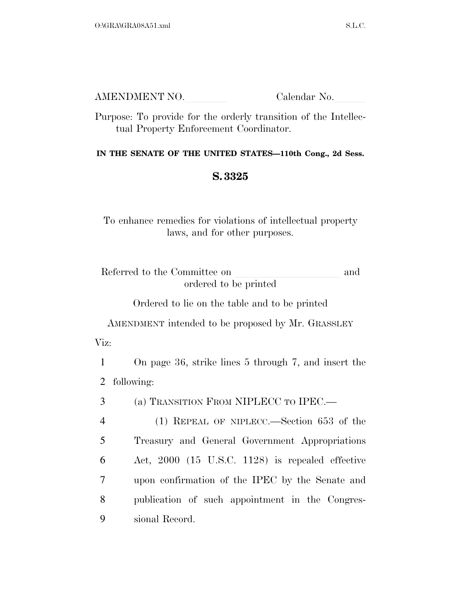| AMENDMENT NO. | Calendar No. |
|---------------|--------------|
|               |              |

Purpose: To provide for the orderly transition of the Intellectual Property Enforcement Coordinator.

## **IN THE SENATE OF THE UNITED STATES—110th Cong., 2d Sess.**

## **S. 3325**

To enhance remedies for violations of intellectual property laws, and for other purposes.

Referred to the Committee on and ordered to be printed

Ordered to lie on the table and to be printed

AMENDMENT intended to be proposed by Mr. GRASSLEY Viz:

1 On page 36, strike lines 5 through 7, and insert the 2 following:

3 (a) TRANSITION FROM NIPLECC TO IPEC.—

 (1) REPEAL OF NIPLECC.—Section 653 of the Treasury and General Government Appropriations Act, 2000 (15 U.S.C. 1128) is repealed effective upon confirmation of the IPEC by the Senate and publication of such appointment in the Congres-sional Record.